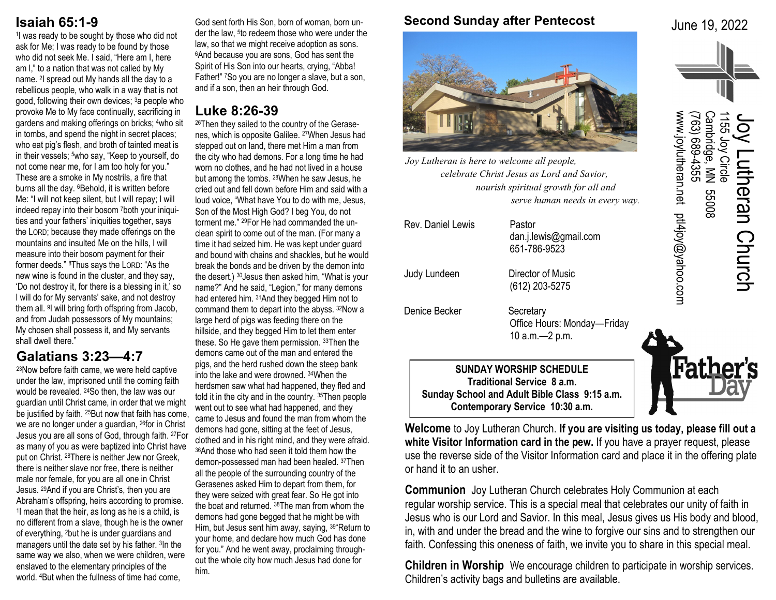# **Isaiah 65:1-9**

1 I was ready to be sought by those who did not ask for Me; I was ready to be found by those who did not seek Me. I said, "Here am I, here am I," to a nation that was not called by My name. <sup>2</sup> I spread out My hands all the day to a rebellious people, who walk in a way that is not good, following their own devices; 3a people who provoke Me to My face continually, sacrificing in gardens and making offerings on bricks; 4who sit in tombs, and spend the night in secret places; who eat pig's flesh, and broth of tainted meat is in their vessels; <sup>5</sup>who say, "Keep to yourself, do not come near me, for I am too holy for you." These are a smoke in My nostrils, a fire that burns all the day. <sup>6</sup>Behold, it is written before Me: "I will not keep silent, but I will repay; I will indeed repay into their bosom 7both your iniquities and your fathers' iniquities together, says the LORD; because they made offerings on the mountains and insulted Me on the hills, I will measure into their bosom payment for their former deeds." 8Thus says the LORD: "As the new wine is found in the cluster, and they say, 'Do not destroy it, for there is a blessing in it,' so I will do for My servants' sake, and not destroy them all. <sup>9</sup>I will bring forth offspring from Jacob, and from Judah possessors of My mountains; My chosen shall possess it, and My servants shall dwell there."

# **Galatians 3:23—4:7**

<sup>23</sup>Now before faith came, we were held captive under the law, imprisoned until the coming faith would be revealed. 24So then, the law was our guardian until Christ came, in order that we might be justified by faith. <sup>25</sup>But now that faith has come, we are no longer under a guardian, 26for in Christ Jesus you are all sons of God, through faith. 27For as many of you as were baptized into Christ have put on Christ. 28There is neither Jew nor Greek, there is neither slave nor free, there is neither male nor female, for you are all one in Christ Jesus. 29And if you are Christ's, then you are Abraham's offspring, heirs according to promise. 1 I mean that the heir, as long as he is a child, is no different from a slave, though he is the owner of everything, 2but he is under guardians and managers until the date set by his father. <sup>3</sup> In the same way we also, when we were children, were enslaved to the elementary principles of the world. 4But when the fullness of time had come,

God sent forth His Son, born of woman, born under the law, <sup>5</sup> to redeem those who were under the law, so that we might receive adoption as sons. <sup>6</sup>And because you are sons, God has sent the Spirit of His Son into our hearts, crying, "Abba! Father!" 7So you are no longer a slave, but a son, and if a son, then an heir through God.

# **Luke 8:26-39**

26Then they sailed to the country of the Gerasenes, which is opposite Galilee. 27When Jesus had stepped out on land, there met Him a man from the city who had demons. For a long time he had worn no clothes, and he had not lived in a house but among the tombs. 28When he saw Jesus, he cried out and fell down before Him and said with a loud voice, "What have You to do with me, Jesus, Son of the Most High God? I beg You, do not torment me." 29For He had commanded the unclean spirit to come out of the man. (For many a time it had seized him. He was kept under guard and bound with chains and shackles, but he would break the bonds and be driven by the demon into the desert.) 30Jesus then asked him, "What is your name?" And he said, "Legion," for many demons had entered him. 31And they begged Him not to command them to depart into the abyss. 32Now a large herd of pigs was feeding there on the hillside, and they begged Him to let them enter these. So He gave them permission. 33Then the demons came out of the man and entered the pigs, and the herd rushed down the steep bank into the lake and were drowned. 34When the herdsmen saw what had happened, they fled and told it in the city and in the country. 35Then people went out to see what had happened, and they came to Jesus and found the man from whom the demons had gone, sitting at the feet of Jesus, clothed and in his right mind, and they were afraid. <sup>36</sup>And those who had seen it told them how the demon-possessed man had been healed. 37Then all the people of the surrounding country of the Gerasenes asked Him to depart from them, for they were seized with great fear. So He got into the boat and returned. 38The man from whom the demons had gone begged that he might be with Him, but Jesus sent him away, saying, 39"Return to your home, and declare how much God has done for you." And he went away, proclaiming throughout the whole city how much Jesus had done for him.

### **Second Sunday after Pentecost**

June 19, 2022

(763) 689

-4355

www.joylutheran.net ptl4joy@yahoo.com

www.joylutheran.net ptl4joy@yahoo.com

Cambridge, MN 55008

80099

**Father** 

1155 Joy Circle

Joy Lutheran Church

utheran Church



*Joy Lutheran is here to welcome all people, celebrate Christ Jesus as Lord and Savior, nourish spiritual growth for all and serve human needs in every way.*

| Judy Lundeen                                                                                                                                     | dan.j.lewis@gmail.com<br>651-786-9523<br>Director of Music<br>(612) 203-5275 |  |  |
|--------------------------------------------------------------------------------------------------------------------------------------------------|------------------------------------------------------------------------------|--|--|
| Denice Becker                                                                                                                                    | Secretary<br>Office Hours: Monday—Friday<br>10 a.m. - 2 p.m.                 |  |  |
| <b>SUNDAY WORSHIP SCHEDULE</b><br>Traditional Service 8 a.m.<br>Sunday School and Adult Bible Class 9:15 a.m.<br>Contemporary Service 10:30 a.m. |                                                                              |  |  |

**Welcome** to Joy Lutheran Church. **If you are visiting us today, please fill out a white Visitor Information card in the pew.** If you have a prayer request, please use the reverse side of the Visitor Information card and place it in the offering plate or hand it to an usher.

**Communion** Joy Lutheran Church celebrates Holy Communion at each regular worship service. This is a special meal that celebrates our unity of faith in Jesus who is our Lord and Savior. In this meal, Jesus gives us His body and blood, in, with and under the bread and the wine to forgive our sins and to strengthen our faith. Confessing this oneness of faith, we invite you to share in this special meal.

**Children in Worship** We encourage children to participate in worship services. Children's activity bags and bulletins are available.